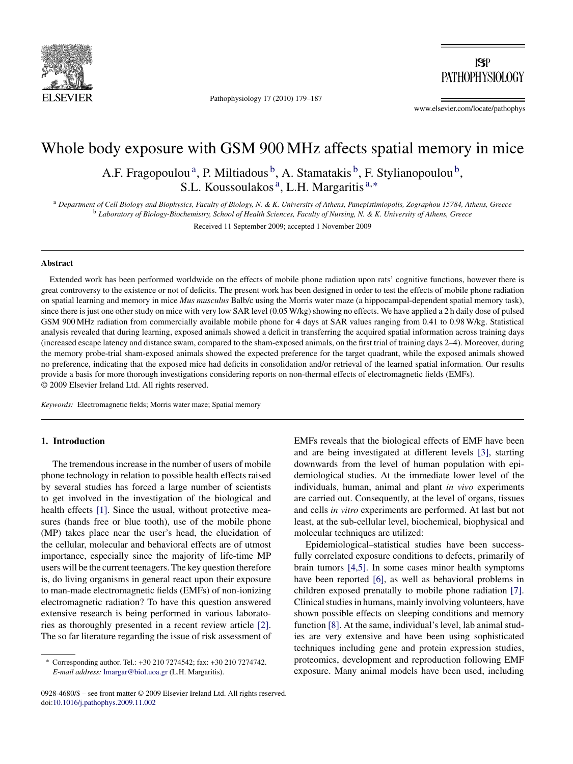

Pathophysiology 17 (2010) 179–187

 $|S|$ **PATHOPHYSIOLOGY** 

www.elsevier.com/locate/pathophys

# Whole body exposure with GSM 900 MHz affects spatial memory in mice

A.F. Fragopoulou<sup>a</sup>, P. Miltiadous<sup>b</sup>, A. Stamatakis<sup>b</sup>, F. Stylianopoulou<sup>b</sup>, S.L. Koussoulakos<sup>a</sup>, L.H. Margaritis<sup>a,∗</sup>

<sup>a</sup> *Department of Cell Biology and Biophysics, Faculty of Biology, N. & K. University of Athens, Panepistimiopolis, Zographou 15784, Athens, Greece* <sup>b</sup> *Laboratory of Biology-Biochemistry, School of Health Sciences, Faculty of Nursing, N. & K. University of Athens, Greece*

Received 11 September 2009; accepted 1 November 2009

#### **Abstract**

Extended work has been performed worldwide on the effects of mobile phone radiation upon rats' cognitive functions, however there is great controversy to the existence or not of deficits. The present work has been designed in order to test the effects of mobile phone radiation on spatial learning and memory in mice *Mus musculus* Balb/c using the Morris water maze (a hippocampal-dependent spatial memory task), since there is just one other study on mice with very low SAR level (0.05 W/kg) showing no effects. We have applied a 2 h daily dose of pulsed GSM 900 MHz radiation from commercially available mobile phone for 4 days at SAR values ranging from 0.41 to 0.98 W/kg. Statistical analysis revealed that during learning, exposed animals showed a deficit in transferring the acquired spatial information across training days (increased escape latency and distance swam, compared to the sham-exposed animals, on the first trial of training days 2–4). Moreover, during the memory probe-trial sham-exposed animals showed the expected preference for the target quadrant, while the exposed animals showed no preference, indicating that the exposed mice had deficits in consolidation and/or retrieval of the learned spatial information. Our results provide a basis for more thorough investigations considering reports on non-thermal effects of electromagnetic fields (EMFs). © 2009 Elsevier Ireland Ltd. All rights reserved.

*Keywords:* Electromagnetic fields; Morris water maze; Spatial memory

# **1. Introduction**

The tremendous increase in the number of users of mobile phone technology in relation to possible health effects raised by several studies has forced a large number of scientists to get involved in the investigation of the biological and health effects [\[1\].](#page-6-0) Since the usual, without protective measures (hands free or blue tooth), use of the mobile phone (MP) takes place near the user's head, the elucidation of the cellular, molecular and behavioral effects are of utmost importance, especially since the majority of life-time MP users will be the current teenagers. The key question therefore is, do living organisms in general react upon their exposure to man-made electromagnetic fields (EMFs) of non-ionizing electromagnetic radiation? To have this question answered extensive research is being performed in various laboratories as thoroughly presented in a recent review article [\[2\].](#page-6-0) The so far literature regarding the issue of risk assessment of

EMFs reveals that the biological effects of EMF have been and are being investigated at different levels [\[3\],](#page-7-0) starting downwards from the level of human population with epidemiological studies. At the immediate lower level of the individuals, human, animal and plant *in vivo* experiments are carried out. Consequently, at the level of organs, tissues and cells *in vitro* experiments are performed. At last but not least, at the sub-cellular level, biochemical, biophysical and molecular techniques are utilized:

Epidemiological–statistical studies have been successfully correlated exposure conditions to defects, primarily of brain tumors [\[4,5\].](#page-7-0) In some cases minor health symptoms have been reported [\[6\],](#page-7-0) as well as behavioral problems in children exposed prenatally to mobile phone radiation [\[7\].](#page-7-0) Clinical studies in humans, mainly involving volunteers, have shown possible effects on sleeping conditions and memory function [\[8\]. A](#page-7-0)t the same, individual's level, lab animal studies are very extensive and have been using sophisticated techniques including gene and protein expression studies, proteomics, development and reproduction following EMF exposure. Many animal models have been used, including

<sup>∗</sup> Corresponding author. Tel.: +30 210 7274542; fax: +30 210 7274742. *E-mail address:* [lmargar@biol.uoa.gr](mailto:lmargar@biol.uoa.gr) (L.H. Margaritis).

<sup>0928-4680/\$ –</sup> see front matter © 2009 Elsevier Ireland Ltd. All rights reserved. doi[:10.1016/j.pathophys.2009.11.002](dx.doi.org/10.1016/j.pathophys.2009.11.002)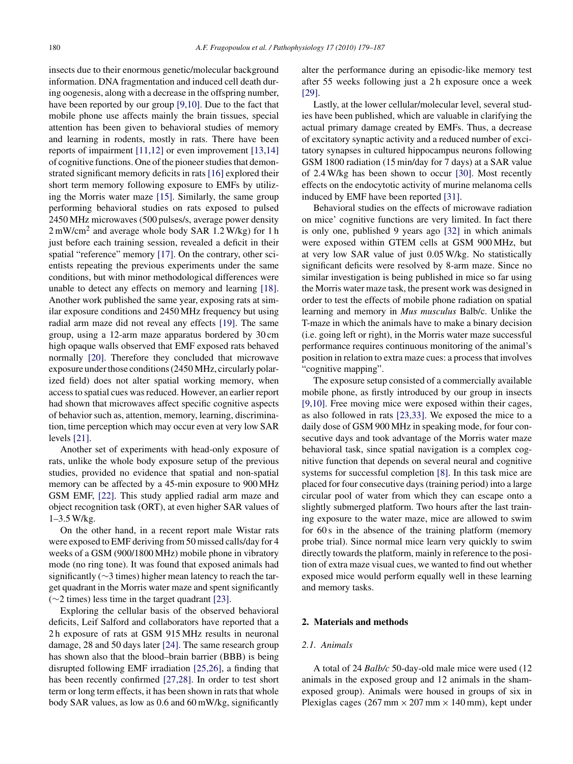insects due to their enormous genetic/molecular background information. DNA fragmentation and induced cell death during oogenesis, along with a decrease in the offspring number, have been reported by our group [\[9,10\]. D](#page-7-0)ue to the fact that mobile phone use affects mainly the brain tissues, special attention has been given to behavioral studies of memory and learning in rodents, mostly in rats. There have been reports of impairment [\[11,12\]](#page-7-0) or even improvement [\[13,14\]](#page-7-0) of cognitive functions. One of the pioneer studies that demonstrated significant memory deficits in rats [\[16\]](#page-7-0) explored their short term memory following exposure to EMFs by utilizing the Morris water maze [\[15\].](#page-7-0) Similarly, the same group performing behavioral studies on rats exposed to pulsed 2450 MHz microwaves (500 pulses/s, average power density 2 mW/cm<sup>2</sup> and average whole body SAR 1.2 W/kg) for 1 h just before each training session, revealed a deficit in their spatial "reference" memory [\[17\].](#page-7-0) On the contrary, other scientists repeating the previous experiments under the same conditions, but with minor methodological differences were unable to detect any effects on memory and learning [\[18\].](#page-7-0) Another work published the same year, exposing rats at similar exposure conditions and 2450 MHz frequency but using radial arm maze did not reveal any effects [\[19\].](#page-7-0) The same group, using a 12-arm maze apparatus bordered by 30 cm high opaque walls observed that EMF exposed rats behaved normally [\[20\].](#page-7-0) Therefore they concluded that microwave exposure under those conditions (2450 MHz, circularly polarized field) does not alter spatial working memory, when access to spatial cues was reduced. However, an earlier report had shown that microwaves affect specific cognitive aspects of behavior such as, attention, memory, learning, discrimination, time perception which may occur even at very low SAR levels [\[21\].](#page-7-0)

Another set of experiments with head-only exposure of rats, unlike the whole body exposure setup of the previous studies, provided no evidence that spatial and non-spatial memory can be affected by a 45-min exposure to 900 MHz GSM EMF, [\[22\].](#page-7-0) This study applied radial arm maze and object recognition task (ORT), at even higher SAR values of 1–3.5 W/kg.

On the other hand, in a recent report male Wistar rats were exposed to EMF deriving from 50 missed calls/day for 4 weeks of a GSM (900/1800 MHz) mobile phone in vibratory mode (no ring tone). It was found that exposed animals had significantly (∼3 times) higher mean latency to reach the target quadrant in the Morris water maze and spent significantly (∼2 times) less time in the target quadrant [\[23\].](#page-7-0)

Exploring the cellular basis of the observed behavioral deficits, Leif Salford and collaborators have reported that a 2 h exposure of rats at GSM 915 MHz results in neuronal damage, 28 and 50 days later [\[24\].](#page-7-0) The same research group has shown also that the blood–brain barrier (BBB) is being disrupted following EMF irradiation [\[25,26\],](#page-7-0) a finding that has been recently confirmed [\[27,28\].](#page-7-0) In order to test short term or long term effects, it has been shown in rats that whole body SAR values, as low as 0.6 and 60 mW/kg, significantly

alter the performance during an episodic-like memory test after 55 weeks following just a 2 h exposure once a week [\[29\].](#page-7-0)

Lastly, at the lower cellular/molecular level, several studies have been published, which are valuable in clarifying the actual primary damage created by EMFs. Thus, a decrease of excitatory synaptic activity and a reduced number of excitatory synapses in cultured hippocampus neurons following GSM 1800 radiation (15 min/day for 7 days) at a SAR value of 2.4 W/kg has been shown to occur [\[30\].](#page-7-0) Most recently effects on the endocytotic activity of murine melanoma cells induced by EMF have been reported [\[31\].](#page-7-0)

Behavioral studies on the effects of microwave radiation on mice' cognitive functions are very limited. In fact there is only one, published 9 years ago [\[32\]](#page-7-0) in which animals were exposed within GTEM cells at GSM 900 MHz, but at very low SAR value of just 0.05 W/kg. No statistically significant deficits were resolved by 8-arm maze. Since no similar investigation is being published in mice so far using the Morris water maze task, the present work was designed in order to test the effects of mobile phone radiation on spatial learning and memory in *Mus musculus* Balb/c. Unlike the T-maze in which the animals have to make a binary decision (i.e. going left or right), in the Morris water maze successful performance requires continuous monitoring of the animal's position in relation to extra maze cues: a process that involves "cognitive mapping".

The exposure setup consisted of a commercially available mobile phone, as firstly introduced by our group in insects [\[9,10\].](#page-7-0) Free moving mice were exposed within their cages, as also followed in rats [\[23,33\].](#page-7-0) We exposed the mice to a daily dose of GSM 900 MHz in speaking mode, for four consecutive days and took advantage of the Morris water maze behavioral task, since spatial navigation is a complex cognitive function that depends on several neural and cognitive systems for successful completion [\[8\].](#page-7-0) In this task mice are placed for four consecutive days (training period) into a large circular pool of water from which they can escape onto a slightly submerged platform. Two hours after the last training exposure to the water maze, mice are allowed to swim for 60 s in the absence of the training platform (memory probe trial). Since normal mice learn very quickly to swim directly towards the platform, mainly in reference to the position of extra maze visual cues, we wanted to find out whether exposed mice would perform equally well in these learning and memory tasks.

## **2. Materials and methods**

# *2.1. Animals*

A total of 24 *Balb/c* 50-day-old male mice were used (12 animals in the exposed group and 12 animals in the shamexposed group). Animals were housed in groups of six in Plexiglas cages (267 mm  $\times$  207 mm  $\times$  140 mm), kept under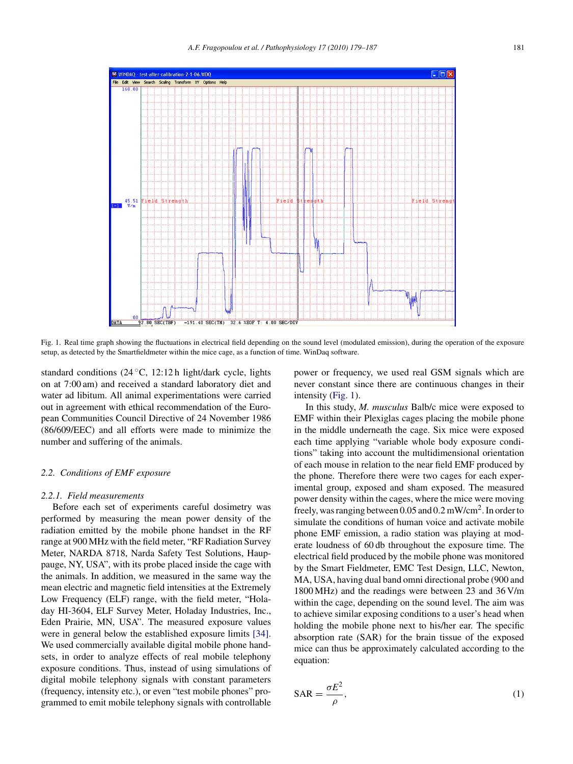<span id="page-2-0"></span>

Fig. 1. Real time graph showing the fluctuations in electrical field depending on the sound level (modulated emission), during the operation of the exposure setup, as detected by the Smartfieldmeter within the mice cage, as a function of time. WinDaq software.

standard conditions (24 ◦C, 12:12 h light/dark cycle, lights on at 7:00 am) and received a standard laboratory diet and water ad libitum. All animal experimentations were carried out in agreement with ethical recommendation of the European Communities Council Directive of 24 November 1986 (86/609/EEC) and all efforts were made to minimize the number and suffering of the animals.

# *2.2. Conditions of EMF exposure*

## *2.2.1. Field measurements*

Before each set of experiments careful dosimetry was performed by measuring the mean power density of the radiation emitted by the mobile phone handset in the RF range at 900 MHz with the field meter, "RF Radiation Survey Meter, NARDA 8718, Narda Safety Test Solutions, Hauppauge, NY, USA", with its probe placed inside the cage with the animals. In addition, we measured in the same way the mean electric and magnetic field intensities at the Extremely Low Frequency (ELF) range, with the field meter, "Holaday HI-3604, ELF Survey Meter, Holaday Industries, Inc., Eden Prairie, MN, USA". The measured exposure values were in general below the established exposure limits [\[34\].](#page-7-0) We used commercially available digital mobile phone handsets, in order to analyze effects of real mobile telephony exposure conditions. Thus, instead of using simulations of digital mobile telephony signals with constant parameters (frequency, intensity etc.), or even "test mobile phones" programmed to emit mobile telephony signals with controllable power or frequency, we used real GSM signals which are never constant since there are continuous changes in their intensity (Fig. 1).

In this study, *M. musculus* Balb/c mice were exposed to EMF within their Plexiglas cages placing the mobile phone in the middle underneath the cage. Six mice were exposed each time applying "variable whole body exposure conditions" taking into account the multidimensional orientation of each mouse in relation to the near field EMF produced by the phone. Therefore there were two cages for each experimental group, exposed and sham exposed. The measured power density within the cages, where the mice were moving freely, was ranging between 0.05 and 0.2 mW/cm2. In order to simulate the conditions of human voice and activate mobile phone EMF emission, a radio station was playing at moderate loudness of 60 db throughout the exposure time. The electrical field produced by the mobile phone was monitored by the Smart Fieldmeter, EMC Test Design, LLC, Newton, MA, USA, having dual band omni directional probe (900 and 1800 MHz) and the readings were between 23 and 36 V/m within the cage, depending on the sound level. The aim was to achieve similar exposing conditions to a user's head when holding the mobile phone next to his/her ear. The specific absorption rate (SAR) for the brain tissue of the exposed mice can thus be approximately calculated according to the equation:

$$
SAR = \frac{\sigma E^2}{\rho},\tag{1}
$$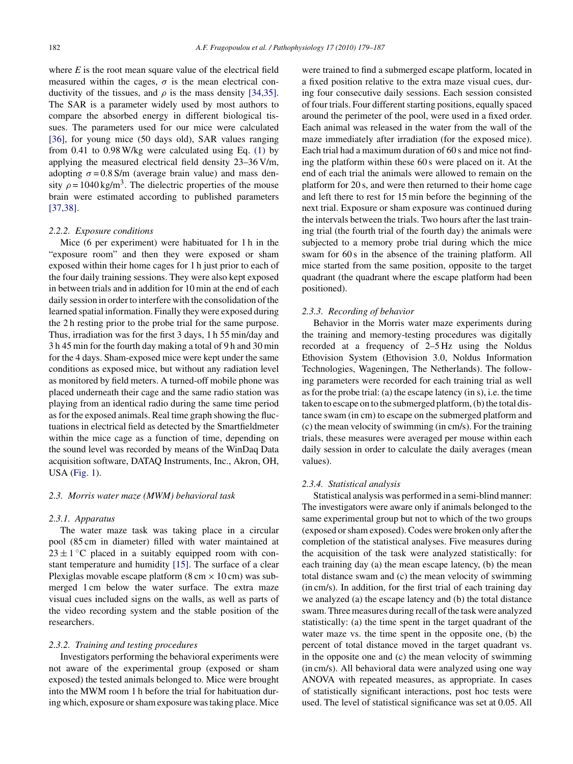where  $E$  is the root mean square value of the electrical field measured within the cages,  $\sigma$  is the mean electrical conductivity of the tissues, and  $\rho$  is the mass density [\[34,35\].](#page-7-0) The SAR is a parameter widely used by most authors to compare the absorbed energy in different biological tissues. The parameters used for our mice were calculated [\[36\],](#page-7-0) for young mice (50 days old), SAR values ranging from 0.41 to 0.98 W/kg were calculated using Eq. [\(1\)](#page-2-0) by applying the measured electrical field density 23–36 V/m, adopting  $\sigma = 0.8$  S/m (average brain value) and mass density  $\rho = 1040 \text{ kg/m}^3$ . The dielectric properties of the mouse brain were estimated according to published parameters [\[37,38\].](#page-7-0)

#### *2.2.2. Exposure conditions*

Mice (6 per experiment) were habituated for 1 h in the "exposure room" and then they were exposed or sham exposed within their home cages for 1 h just prior to each of the four daily training sessions. They were also kept exposed in between trials and in addition for 10 min at the end of each daily session in order to interfere with the consolidation of the learned spatial information. Finally they were exposed during the 2 h resting prior to the probe trial for the same purpose. Thus, irradiation was for the first 3 days, 1 h 55 min/day and 3 h 45 min for the fourth day making a total of 9 h and 30 min for the 4 days. Sham-exposed mice were kept under the same conditions as exposed mice, but without any radiation level as monitored by field meters. A turned-off mobile phone was placed underneath their cage and the same radio station was playing from an identical radio during the same time period as for the exposed animals. Real time graph showing the fluctuations in electrical field as detected by the Smartfieldmeter within the mice cage as a function of time, depending on the sound level was recorded by means of the WinDaq Data acquisition software, DATAQ Instruments, Inc., Akron, OH, USA [\(Fig. 1\).](#page-2-0)

#### *2.3. Morris water maze (MWM) behavioral task*

#### *2.3.1. Apparatus*

The water maze task was taking place in a circular pool (85 cm in diameter) filled with water maintained at  $23 \pm 1$  °C placed in a suitably equipped room with constant temperature and humidity [\[15\].](#page-7-0) The surface of a clear Plexiglas movable escape platform  $(8 \text{ cm} \times 10 \text{ cm})$  was submerged 1 cm below the water surface. The extra maze visual cues included signs on the walls, as well as parts of the video recording system and the stable position of the researchers.

# *2.3.2. Training and testing procedures*

Investigators performing the behavioral experiments were not aware of the experimental group (exposed or sham exposed) the tested animals belonged to. Mice were brought into the MWM room 1 h before the trial for habituation during which, exposure or sham exposure was taking place. Mice

were trained to find a submerged escape platform, located in a fixed position relative to the extra maze visual cues, during four consecutive daily sessions. Each session consisted of four trials. Four different starting positions, equally spaced around the perimeter of the pool, were used in a fixed order. Each animal was released in the water from the wall of the maze immediately after irradiation (for the exposed mice). Each trial had a maximum duration of 60 s and mice not finding the platform within these 60 s were placed on it. At the end of each trial the animals were allowed to remain on the platform for 20 s, and were then returned to their home cage and left there to rest for 15 min before the beginning of the next trial. Exposure or sham exposure was continued during the intervals between the trials. Two hours after the last training trial (the fourth trial of the fourth day) the animals were subjected to a memory probe trial during which the mice swam for 60 s in the absence of the training platform. All mice started from the same position, opposite to the target quadrant (the quadrant where the escape platform had been positioned).

#### *2.3.3. Recording of behavior*

Behavior in the Morris water maze experiments during the training and memory-testing procedures was digitally recorded at a frequency of 2–5 Hz using the Noldus Ethovision System (Ethovision 3.0, Noldus Information Technologies, Wageningen, The Netherlands). The following parameters were recorded for each training trial as well as for the probe trial: (a) the escape latency (in s), i.e. the time taken to escape on to the submerged platform, (b) the total distance swam (in cm) to escape on the submerged platform and (c) the mean velocity of swimming (in cm/s). For the training trials, these measures were averaged per mouse within each daily session in order to calculate the daily averages (mean values).

#### *2.3.4. Statistical analysis*

Statistical analysis was performed in a semi-blind manner: The investigators were aware only if animals belonged to the same experimental group but not to which of the two groups (exposed or sham exposed). Codes were broken only after the completion of the statistical analyses. Five measures during the acquisition of the task were analyzed statistically: for each training day (a) the mean escape latency, (b) the mean total distance swam and (c) the mean velocity of swimming (in cm/s). In addition, for the first trial of each training day we analyzed (a) the escape latency and (b) the total distance swam. Three measures during recall of the task were analyzed statistically: (a) the time spent in the target quadrant of the water maze vs. the time spent in the opposite one, (b) the percent of total distance moved in the target quadrant vs. in the opposite one and (c) the mean velocity of swimming (in cm/s). All behavioral data were analyzed using one way ANOVA with repeated measures, as appropriate. In cases of statistically significant interactions, post hoc tests were used. The level of statistical significance was set at 0.05. All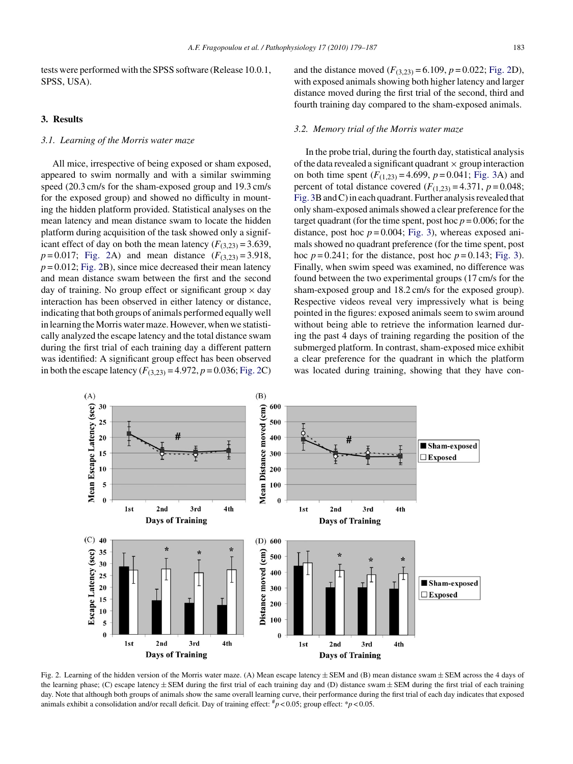tests were performed with the SPSS software (Release 10.0.1, SPSS, USA).

# **3. Results**

# *3.1. Learning of the Morris water maze*

All mice, irrespective of being exposed or sham exposed, appeared to swim normally and with a similar swimming speed (20.3 cm/s for the sham-exposed group and 19.3 cm/s for the exposed group) and showed no difficulty in mounting the hidden platform provided. Statistical analyses on the mean latency and mean distance swam to locate the hidden platform during acquisition of the task showed only a significant effect of day on both the mean latency  $(F_{(3,23)} = 3.639)$ ,  $p = 0.017$ ; Fig. 2A) and mean distance  $(F_{(3,23)} = 3.918$ ,  $p = 0.012$ ; Fig. 2B), since mice decreased their mean latency and mean distance swam between the first and the second day of training. No group effect or significant group  $\times$  day interaction has been observed in either latency or distance, indicating that both groups of animals performed equally well in learning the Morris water maze. However, when we statistically analyzed the escape latency and the total distance swam during the first trial of each training day a different pattern was identified: A significant group effect has been observed in both the escape latency  $(F_{(3,23)} = 4.972, p = 0.036;$  Fig. 2C) and the distance moved  $(F_{(3,23)} = 6.109, p = 0.022;$  Fig. 2D), with exposed animals showing both higher latency and larger distance moved during the first trial of the second, third and fourth training day compared to the sham-exposed animals.

# *3.2. Memory trial of the Morris water maze*

In the probe trial, during the fourth day, statistical analysis of the data revealed a significant quadrant  $\times$  group interaction on both time spent  $(F_{(1,23)} = 4.699, p = 0.041; Fig. 3A)$  $(F_{(1,23)} = 4.699, p = 0.041; Fig. 3A)$  $(F_{(1,23)} = 4.699, p = 0.041; Fig. 3A)$  and percent of total distance covered  $(F_{(1,23)} = 4.371, p = 0.048;$ [Fig. 3B](#page-5-0) and C) in each quadrant. Further analysis revealed that only sham-exposed animals showed a clear preference for the target quadrant (for the time spent, post hoc  $p = 0.006$ ; for the distance, post hoc  $p = 0.004$ ; [Fig. 3\),](#page-5-0) whereas exposed animals showed no quadrant preference (for the time spent, post hoc  $p = 0.241$ ; for the distance, post hoc  $p = 0.143$ ; [Fig. 3\).](#page-5-0) Finally, when swim speed was examined, no difference was found between the two experimental groups (17 cm/s for the sham-exposed group and 18.2 cm/s for the exposed group). Respective videos reveal very impressively what is being pointed in the figures: exposed animals seem to swim around without being able to retrieve the information learned during the past 4 days of training regarding the position of the submerged platform. In contrast, sham-exposed mice exhibit a clear preference for the quadrant in which the platform was located during training, showing that they have con-



Fig. 2. Learning of the hidden version of the Morris water maze. (A) Mean escape latency  $\pm$  SEM and (B) mean distance swam  $\pm$  SEM across the 4 days of the learning phase; (C) escape latency  $\pm$  SEM during the first trial of each training day and (D) distance swam  $\pm$  SEM during the first trial of each training day. Note that although both groups of animals show the same overall learning curve, their performance during the first trial of each day indicates that exposed animals exhibit a consolidation and/or recall deficit. Day of training effect:  $\pi p < 0.05$ ; group effect:  $\pi p < 0.05$ .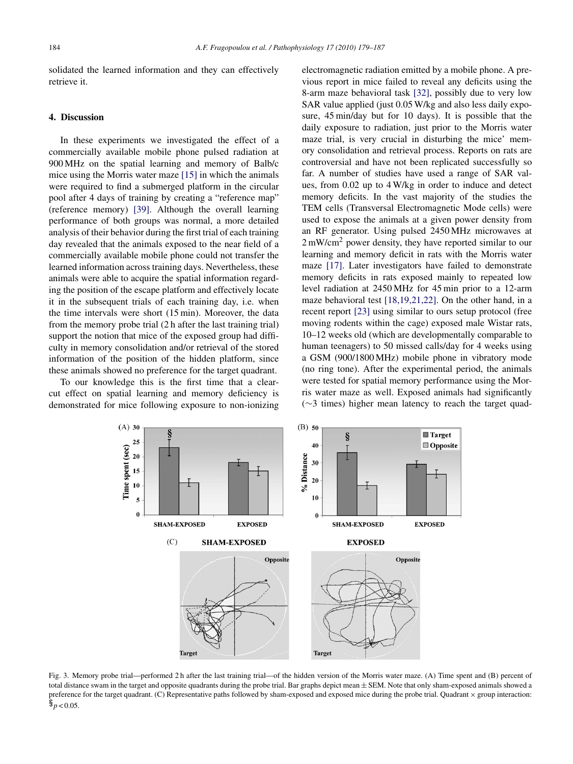<span id="page-5-0"></span>solidated the learned information and they can effectively retrieve it.

## **4. Discussion**

In these experiments we investigated the effect of a commercially available mobile phone pulsed radiation at 900 MHz on the spatial learning and memory of Balb/c mice using the Morris water maze [\[15\]](#page-7-0) in which the animals were required to find a submerged platform in the circular pool after 4 days of training by creating a "reference map" (reference memory) [\[39\].](#page-7-0) Although the overall learning performance of both groups was normal, a more detailed analysis of their behavior during the first trial of each training day revealed that the animals exposed to the near field of a commercially available mobile phone could not transfer the learned information across training days. Nevertheless, these animals were able to acquire the spatial information regarding the position of the escape platform and effectively locate it in the subsequent trials of each training day, i.e. when the time intervals were short (15 min). Moreover, the data from the memory probe trial (2 h after the last training trial) support the notion that mice of the exposed group had difficulty in memory consolidation and/or retrieval of the stored information of the position of the hidden platform, since these animals showed no preference for the target quadrant.

To our knowledge this is the first time that a clearcut effect on spatial learning and memory deficiency is demonstrated for mice following exposure to non-ionizing electromagnetic radiation emitted by a mobile phone. A previous report in mice failed to reveal any deficits using the 8-arm maze behavioral task [\[32\],](#page-7-0) possibly due to very low SAR value applied (just 0.05 W/kg and also less daily exposure, 45 min/day but for 10 days). It is possible that the daily exposure to radiation, just prior to the Morris water maze trial, is very crucial in disturbing the mice' memory consolidation and retrieval process. Reports on rats are controversial and have not been replicated successfully so far. A number of studies have used a range of SAR values, from 0.02 up to 4 W/kg in order to induce and detect memory deficits. In the vast majority of the studies the TEM cells (Transversal Electromagnetic Mode cells) were used to expose the animals at a given power density from an RF generator. Using pulsed 2450 MHz microwaves at 2 mW/cm<sup>2</sup> power density, they have reported similar to our learning and memory deficit in rats with the Morris water maze [\[17\].](#page-7-0) Later investigators have failed to demonstrate memory deficits in rats exposed mainly to repeated low level radiation at 2450 MHz for 45 min prior to a 12-arm maze behavioral test [\[18,19,21,22\].](#page-7-0) On the other hand, in a recent report [\[23\]](#page-7-0) using similar to ours setup protocol (free moving rodents within the cage) exposed male Wistar rats, 10–12 weeks old (which are developmentally comparable to human teenagers) to 50 missed calls/day for 4 weeks using a GSM (900/1800 MHz) mobile phone in vibratory mode (no ring tone). After the experimental period, the animals were tested for spatial memory performance using the Morris water maze as well. Exposed animals had significantly (∼3 times) higher mean latency to reach the target quad-



Fig. 3. Memory probe trial—performed 2 h after the last training trial—of the hidden version of the Morris water maze. (A) Time spent and (B) percent of total distance swam in the target and opposite quadrants during the probe trial. Bar graphs depict mean  $\pm$  SEM. Note that only sham-exposed animals showed a preference for the target quadrant. (C) Representative paths followed by sham-exposed and exposed mice during the probe trial. Quadrant  $\times$  group interaction:  $\frac{6}{9}$   $\geq 0.05$ .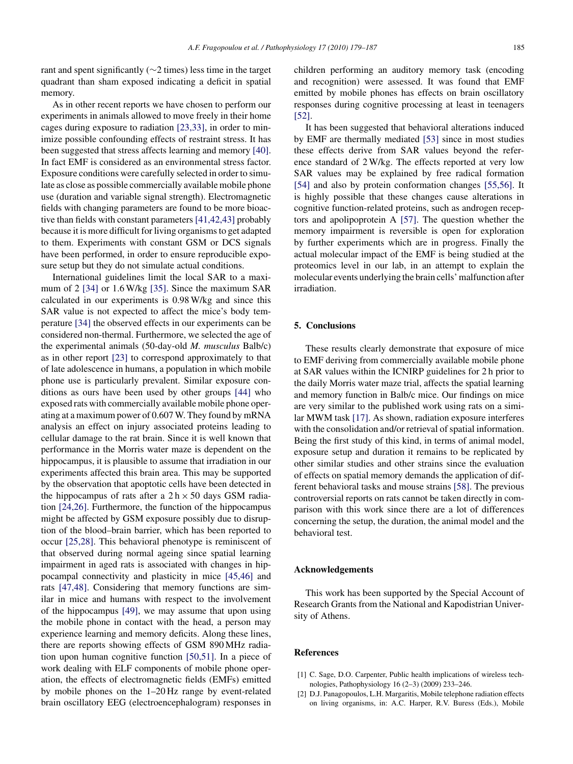<span id="page-6-0"></span>rant and spent significantly (∼2 times) less time in the target quadrant than sham exposed indicating a deficit in spatial memory.

As in other recent reports we have chosen to perform our experiments in animals allowed to move freely in their home cages during exposure to radiation [\[23,33\],](#page-7-0) in order to minimize possible confounding effects of restraint stress. It has been suggested that stress affects learning and memory [\[40\].](#page-7-0) In fact EMF is considered as an environmental stress factor. Exposure conditions were carefully selected in order to simulate as close as possible commercially available mobile phone use (duration and variable signal strength). Electromagnetic fields with changing parameters are found to be more bioactive than fields with constant parameters [\[41,42,43\]](#page-7-0) probably because it is more difficult for living organisms to get adapted to them. Experiments with constant GSM or DCS signals have been performed, in order to ensure reproducible exposure setup but they do not simulate actual conditions.

International guidelines limit the local SAR to a maximum of 2 [\[34\]](#page-7-0) or 1.6 W/kg [\[35\].](#page-7-0) Since the maximum SAR calculated in our experiments is 0.98 W/kg and since this SAR value is not expected to affect the mice's body temperature [\[34\]](#page-7-0) the observed effects in our experiments can be considered non-thermal. Furthermore, we selected the age of the experimental animals (50-day-old *M. musculus* Balb/c) as in other report [\[23\]](#page-7-0) to correspond approximately to that of late adolescence in humans, a population in which mobile phone use is particularly prevalent. Similar exposure conditions as ours have been used by other groups [\[44\]](#page-8-0) who exposed rats with commercially available mobile phone operating at a maximum power of 0.607 W. They found by mRNA analysis an effect on injury associated proteins leading to cellular damage to the rat brain. Since it is well known that performance in the Morris water maze is dependent on the hippocampus, it is plausible to assume that irradiation in our experiments affected this brain area. This may be supported by the observation that apoptotic cells have been detected in the hippocampus of rats after a  $2 h \times 50$  days GSM radiation [\[24,26\].](#page-7-0) Furthermore, the function of the hippocampus might be affected by GSM exposure possibly due to disruption of the blood–brain barrier, which has been reported to occur [\[25,28\].](#page-7-0) This behavioral phenotype is reminiscent of that observed during normal ageing since spatial learning impairment in aged rats is associated with changes in hippocampal connectivity and plasticity in mice [\[45,46\]](#page-8-0) and rats [\[47,48\].](#page-8-0) Considering that memory functions are similar in mice and humans with respect to the involvement of the hippocampus [\[49\],](#page-8-0) we may assume that upon using the mobile phone in contact with the head, a person may experience learning and memory deficits. Along these lines, there are reports showing effects of GSM 890 MHz radiation upon human cognitive function [\[50,51\].](#page-8-0) In a piece of work dealing with ELF components of mobile phone operation, the effects of electromagnetic fields (EMFs) emitted by mobile phones on the 1–20 Hz range by event-related brain oscillatory EEG (electroencephalogram) responses in

children performing an auditory memory task (encoding and recognition) were assessed. It was found that EMF emitted by mobile phones has effects on brain oscillatory responses during cognitive processing at least in teenagers [\[52\].](#page-8-0)

It has been suggested that behavioral alterations induced by EMF are thermally mediated [\[53\]](#page-8-0) since in most studies these effects derive from SAR values beyond the reference standard of 2 W/kg. The effects reported at very low SAR values may be explained by free radical formation [\[54\]](#page-8-0) and also by protein conformation changes [\[55,56\].](#page-8-0) It is highly possible that these changes cause alterations in cognitive function-related proteins, such as androgen receptors and apolipoprotein A [\[57\].](#page-8-0) The question whether the memory impairment is reversible is open for exploration by further experiments which are in progress. Finally the actual molecular impact of the EMF is being studied at the proteomics level in our lab, in an attempt to explain the molecular events underlying the brain cells' malfunction after irradiation.

## **5. Conclusions**

These results clearly demonstrate that exposure of mice to EMF deriving from commercially available mobile phone at SAR values within the ICNIRP guidelines for 2 h prior to the daily Morris water maze trial, affects the spatial learning and memory function in Balb/c mice. Our findings on mice are very similar to the published work using rats on a similar MWM task [\[17\]. A](#page-7-0)s shown, radiation exposure interferes with the consolidation and/or retrieval of spatial information. Being the first study of this kind, in terms of animal model, exposure setup and duration it remains to be replicated by other similar studies and other strains since the evaluation of effects on spatial memory demands the application of different behavioral tasks and mouse strains [\[58\]. T](#page-8-0)he previous controversial reports on rats cannot be taken directly in comparison with this work since there are a lot of differences concerning the setup, the duration, the animal model and the behavioral test.

#### **Acknowledgements**

This work has been supported by the Special Account of Research Grants from the National and Kapodistrian University of Athens.

#### **References**

- [1] C. Sage, D.O. Carpenter, Public health implications of wireless technologies, Pathophysiology 16 (2–3) (2009) 233–246.
- [2] D.J. Panagopoulos, L.H. Margaritis, Mobile telephone radiation effects on living organisms, in: A.C. Harper, R.V. Buress (Eds.), Mobile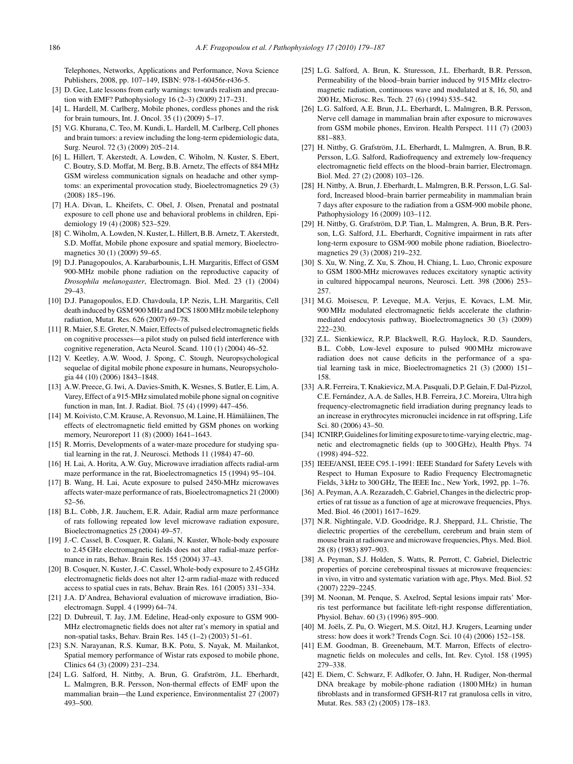<span id="page-7-0"></span>Telephones, Networks, Applications and Performance, Nova Science Publishers, 2008, pp. 107–149, ISBN: 978-1-60456r-r436-5.

- [3] D. Gee, Late lessons from early warnings: towards realism and precaution with EMF? Pathophysiology 16 (2–3) (2009) 217–231.
- [4] L. Hardell, M. Carlberg, Mobile phones, cordless phones and the risk for brain tumours, Int. J. Oncol. 35 (1) (2009) 5–17.
- [5] V.G. Khurana, C. Teo, M. Kundi, L. Hardell, M. Carlberg, Cell phones and brain tumors: a review including the long-term epidemiologic data, Surg. Neurol. 72 (3) (2009) 205–214.
- [6] L. Hillert, T. Akerstedt, A. Lowden, C. Wiholm, N. Kuster, S. Ebert, C. Boutry, S.D. Moffat, M. Berg, B.B. Arnetz, The effects of 884 MHz GSM wireless communication signals on headache and other symptoms: an experimental provocation study, Bioelectromagnetics 29 (3) (2008) 185–196.
- [7] H.A. Divan, L. Kheifets, C. Obel, J. Olsen, Prenatal and postnatal exposure to cell phone use and behavioral problems in children, Epidemiology 19 (4) (2008) 523–529.
- [8] C. Wiholm, A. Lowden, N. Kuster, L. Hillert, B.B. Arnetz, T. Akerstedt, S.D. Moffat, Mobile phone exposure and spatial memory, Bioelectromagnetics 30 (1) (2009) 59–65.
- [9] D.J. Panagopoulos, A. Karabarbounis, L.H. Margaritis, Effect of GSM 900-MHz mobile phone radiation on the reproductive capacity of *Drosophila melanogaster*, Electromagn. Biol. Med. 23 (1) (2004) 29–43.
- [10] D.J. Panagopoulos, E.D. Chavdoula, I.P. Nezis, L.H. Margaritis, Cell death induced by GSM 900 MHz and DCS 1800 MHz mobile telephony radiation, Mutat. Res. 626 (2007) 69–78.
- [11] R. Maier, S.E. Greter, N. Maier, Effects of pulsed electromagnetic fields on cognitive processes—a pilot study on pulsed field interference with cognitive regeneration, Acta Neurol. Scand. 110 (1) (2004) 46–52.
- [12] V. Keetley, A.W. Wood, J. Spong, C. Stough, Neuropsychological sequelae of digital mobile phone exposure in humans, Neuropsychologia 44 (10) (2006) 1843–1848.
- [13] A.W. Preece, G. Iwi, A. Davies-Smith, K. Wesnes, S. Butler, E. Lim, A. Varey, Effect of a 915-MHz simulated mobile phone signal on cognitive function in man, Int. J. Radiat. Biol. 75 (4) (1999) 447–456.
- [14] M. Koivisto, C.M. Krause, A. Revonsuo, M. Laine, H. Hämäläinen, The effects of electromagnetic field emitted by GSM phones on working memory, Neuroreport 11 (8) (2000) 1641–1643.
- [15] R. Morris, Developments of a water-maze procedure for studying spatial learning in the rat, J. Neurosci. Methods 11 (1984) 47–60.
- [16] H. Lai, A. Horita, A.W. Guy, Microwave irradiation affects radial-arm maze performance in the rat, Bioelectromagnetics 15 (1994) 95–104.
- [17] B. Wang, H. Lai, Acute exposure to pulsed 2450-MHz microwaves affects water-maze performance of rats, Bioelectromagnetics 21 (2000) 52–56.
- [18] B.L. Cobb, J.R. Jauchem, E.R. Adair, Radial arm maze performance of rats following repeated low level microwave radiation exposure, Bioelectromagnetics 25 (2004) 49–57.
- [19] J.-C. Cassel, B. Cosquer, R. Galani, N. Kuster, Whole-body exposure to 2.45 GHz electromagnetic fields does not alter radial-maze performance in rats, Behav. Brain Res. 155 (2004) 37–43.
- [20] B. Cosquer, N. Kuster, J.-C. Cassel, Whole-body exposure to 2.45 GHz electromagnetic fields does not alter 12-arm radial-maze with reduced access to spatial cues in rats, Behav. Brain Res. 161 (2005) 331–334.
- [21] J.A. D'Andrea, Behavioral evaluation of microwave irradiation, Bioelectromagn. Suppl. 4 (1999) 64–74.
- [22] D. Dubreuil, T. Jay, J.M. Edeline, Head-only exposure to GSM 900- MHz electromagnetic fields does not alter rat's memory in spatial and non-spatial tasks, Behav. Brain Res. 145 (1–2) (2003) 51–61.
- [23] S.N. Narayanan, R.S. Kumar, B.K. Potu, S. Nayak, M. Mailankot, Spatial memory performance of Wistar rats exposed to mobile phone, Clinics 64 (3) (2009) 231–234.
- [24] L.G. Salford, H. Nittby, A. Brun, G. Grafström, J.L. Eberhardt, L. Malmgren, B.R. Persson, Non-thermal effects of EMF upon the mammalian brain—the Lund experience, Environmentalist 27 (2007) 493–500.
- [25] L.G. Salford, A. Brun, K. Sturesson, J.L. Eberhardt, B.R. Persson, Permeability of the blood–brain barrier induced by 915 MHz electromagnetic radiation, continuous wave and modulated at 8, 16, 50, and 200 Hz, Microsc. Res. Tech. 27 (6) (1994) 535–542.
- [26] L.G. Salford, A.E. Brun, J.L. Eberhardt, L. Malmgren, B.R. Persson, Nerve cell damage in mammalian brain after exposure to microwaves from GSM mobile phones, Environ. Health Perspect. 111 (7) (2003) 881–883.
- [27] H. Nittby, G. Grafström, J.L. Eberhardt, L. Malmgren, A. Brun, B.R. Persson, L.G. Salford, Radiofrequency and extremely low-frequency electromagnetic field effects on the blood–brain barrier, Electromagn. Biol. Med. 27 (2) (2008) 103–126.
- [28] H. Nittby, A. Brun, J. Eberhardt, L. Malmgren, B.R. Persson, L.G. Salford, Increased blood–brain barrier permeability in mammalian brain 7 days after exposure to the radiation from a GSM-900 mobile phone, Pathophysiology 16 (2009) 103–112.
- [29] H. Nittby, G. Grafström, D.P. Tian, L. Malmgren, A. Brun, B.R. Persson, L.G. Salford, J.L. Eberhardt, Cognitive impairment in rats after long-term exposure to GSM-900 mobile phone radiation, Bioelectromagnetics 29 (3) (2008) 219–232.
- [30] S. Xu, W. Ning, Z. Xu, S. Zhou, H. Chiang, L. Luo, Chronic exposure to GSM 1800-MHz microwaves reduces excitatory synaptic activity in cultured hippocampal neurons, Neurosci. Lett. 398 (2006) 253– 257.
- [31] M.G. Moisescu, P. Leveque, M.A. Verjus, E. Kovacs, L.M. Mir, 900 MHz modulated electromagnetic fields accelerate the clathrinmediated endocytosis pathway, Bioelectromagnetics 30 (3) (2009) 222–230
- [32] Z.L. Sienkiewicz, R.P. Blackwell, R.G. Haylock, R.D. Saunders, B.L. Cobb, Low-level exposure to pulsed 900 MHz microwave radiation does not cause deficits in the performance of a spatial learning task in mice, Bioelectromagnetics 21 (3) (2000) 151– 158.
- [33] A.R. Ferreira, T. Knakievicz, M.A. Pasquali, D.P. Gelain, F. Dal-Pizzol, C.E. Fernández, A.A. de Salles, H.B. Ferreira, J.C. Moreira, Ultra high frequency-electromagnetic field irradiation during pregnancy leads to an increase in erythrocytes micronuclei incidence in rat offspring, Life Sci. 80 (2006) 43–50.
- [34] ICNIRP, Guidelines for limiting exposure to time-varying electric, magnetic and electromagnetic fields (up to 300 GHz), Health Phys. 74 (1998) 494–522.
- [35] IEEE/ANSI, IEEE C95.1-1991: IEEE Standard for Safety Levels with Respect to Human Exposure to Radio Frequency Electromagnetic Fields, 3 kHz to 300 GHz, The IEEE Inc., New York, 1992, pp. 1–76.
- [36] A. Peyman, A.A. Rezazadeh, C. Gabriel, Changes in the dielectric properties of rat tissue as a function of age at microwave frequencies, Phys. Med. Biol. 46 (2001) 1617–1629.
- [37] N.R. Nightingale, V.D. Goodridge, R.J. Sheppard, J.L. Christie, The dielectric properties of the cerebellum, cerebrum and brain stem of mouse brain at radiowave and microwave frequencies, Phys. Med. Biol. 28 (8) (1983) 897–903.
- [38] A. Peyman, S.J. Holden, S. Watts, R. Perrott, C. Gabriel, Dielectric properties of porcine cerebrospinal tissues at microwave frequencies: in vivo, in vitro and systematic variation with age, Phys. Med. Biol. 52 (2007) 2229–2245.
- [39] M. Noonan, M. Penque, S. Axelrod, Septal lesions impair rats' Morris test performance but facilitate left-right response differentiation, Physiol. Behav. 60 (3) (1996) 895–900.
- [40] M. Joëls, Z. Pu, O. Wiegert, M.S. Oitzl, H.J. Krugers, Learning under stress: how does it work? Trends Cogn. Sci. 10 (4) (2006) 152–158.
- [41] E.M. Goodman, B. Greenebaum, M.T. Marron, Effects of electromagnetic fields on molecules and cells, Int. Rev. Cytol. 158 (1995) 279–338.
- [42] E. Diem, C. Schwarz, F. Adlkofer, O. Jahn, H. Rudiger, Non-thermal DNA breakage by mobile-phone radiation (1800 MHz) in human fibroblasts and in transformed GFSH-R17 rat granulosa cells in vitro, Mutat. Res. 583 (2) (2005) 178–183.